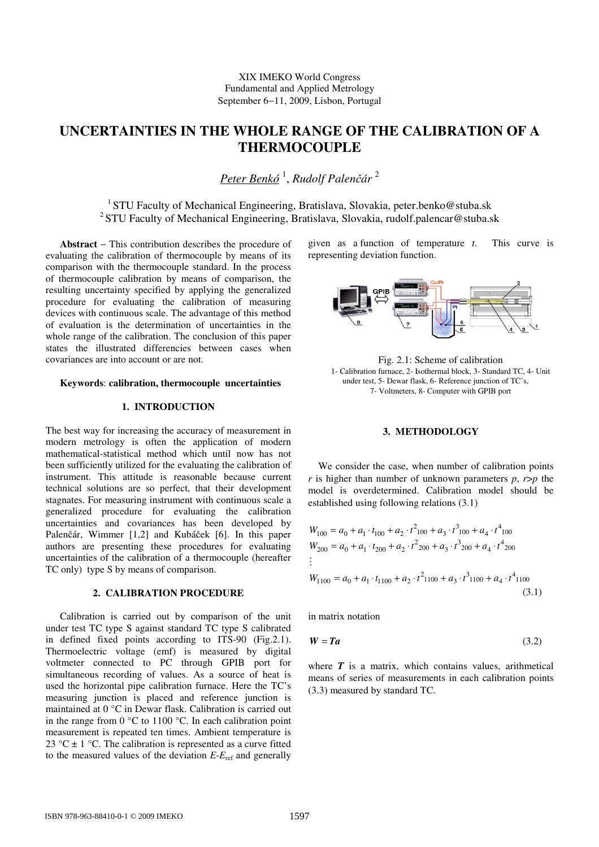# **UNCERTAINTIES IN THE WHOLE RANGE OF THE CALIBRATION OF A THERMOCOUPLE**

*Peter Benkó* <sup>1</sup> , *Rudolf Palen*č*ár* <sup>2</sup>

<sup>1</sup> STU Faculty of Mechanical Engineering, Bratislava, Slovakia, peter.benko@stuba.sk <sup>2</sup> STU Faculty of Mechanical Engineering, Bratislava, Slovakia, rudolf.palencar@stuba.sk

**Abstract** − This contribution describes the procedure of evaluating the calibration of thermocouple by means of its comparison with the thermocouple standard. In the process of thermocouple calibration by means of comparison, the resulting uncertainty specified by applying the generalized procedure for evaluating the calibration of measuring devices with continuous scale. The advantage of this method of evaluation is the determination of uncertainties in the whole range of the calibration. The conclusion of this paper states the illustrated differencies between cases when covariances are into account or are not.

## **Keywords**: **calibration, thermocouple uncertainties**

# **1. INTRODUCTION**

The best way for increasing the accuracy of measurement in modern metrology is often the application of modern mathematical-statistical method which until now has not been sufficiently utilized for the evaluating the calibration of instrument. This attitude is reasonable because current technical solutions are so perfect, that their development stagnates. For measuring instrument with continuous scale a generalized procedure for evaluating the calibration uncertainties and covariances has been developed by Palenčár, Wimmer [1,2] and Kubáček [6]. In this paper authors are presenting these procedures for evaluating uncertainties of the calibration of a thermocouple (hereafter TC only) type S by means of comparison.

### **2. CALIBRATION PROCEDURE**

Calibration is carried out by comparison of the unit under test TC type S against standard TC type S calibrated in defined fixed points according to ITS-90 (Fig.2.1). Thermoelectric voltage (emf) is measured by digital voltmeter connected to PC through GPIB port for simultaneous recording of values. As a source of heat is used the horizontal pipe calibration furnace. Here the TC's measuring junction is placed and reference junction is maintained at 0 °C in Dewar flask. Calibration is carried out in the range from 0 °C to 1100 °C. In each calibration point measurement is repeated ten times. Ambient temperature is 23 °C  $\pm$  1 °C. The calibration is represented as a curve fitted to the measured values of the deviation  $E-E_{\text{ref}}$  and generally

given as a function of temperature *t*. This curve is representing deviation function.



Fig. 2.1: Scheme of calibration 1- Calibration furnace, 2- Isothermal block, 3- Standard TC, 4- Unit under test, 5- Dewar flask, 6- Reference junction of TC's, 7- Voltmeters, 8- Computer with GPIB port

# **3. METHODOLOGY**

We consider the case, when number of calibration points *r* is higher than number of unknown parameters  $p$ ,  $r$ > $p$  the model is overdetermined. Calibration model should be established using following relations (3.1)

$$
W_{100} = a_0 + a_1 \cdot t_{100} + a_2 \cdot t^2_{100} + a_3 \cdot t^3_{100} + a_4 \cdot t^4_{100}
$$
  
\n
$$
W_{200} = a_0 + a_1 \cdot t_{200} + a_2 \cdot t^2_{200} + a_3 \cdot t^3_{200} + a_4 \cdot t^4_{200}
$$
  
\n:  
\n
$$
W_{1100} = a_0 + a_1 \cdot t_{1100} + a_2 \cdot t^2_{1100} + a_3 \cdot t^3_{1100} + a_4 \cdot t^4_{1100}
$$
  
\n(3.1)

in matrix notation

$$
W = Ta \tag{3.2}
$$

where  $T$  is a matrix, which contains values, arithmetical means of series of measurements in each calibration points (3.3) measured by standard TC.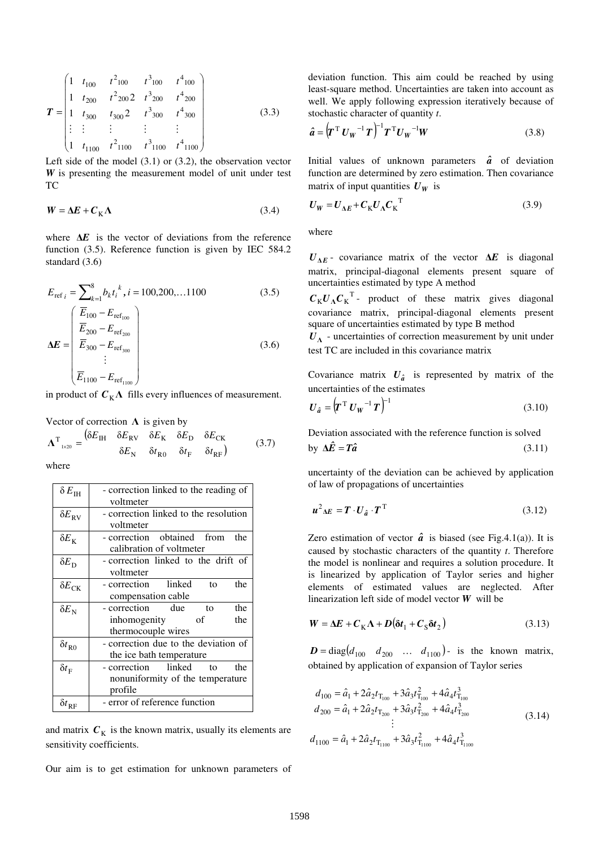$$
\boldsymbol{T} = \begin{pmatrix} 1 & t_{100} & t^2_{100} & t^3_{100} & t^4_{100} \\ 1 & t_{200} & t^2_{200} & t^3_{200} & t^4_{200} \\ 1 & t_{300} & t_{300} & 2 & t^3_{300} & t^4_{300} \\ \vdots & \vdots & \vdots & \vdots & \vdots & \vdots \\ 1 & t_{1100} & t^2_{1100} & t^3_{1100} & t^4_{1100} \end{pmatrix}
$$
(3.3)

Left side of the model (3.1) or (3.2), the observation vector *W* is presenting the measurement model of unit under test TC

$$
W = \Delta E + C_{\rm K} \Lambda \tag{3.4}
$$

where ∆*E* is the vector of deviations from the reference function (3.5). Reference function is given by IEC 584.2 standard (3.6)

$$
E_{\text{ref }i} = \sum_{k=1}^{8} b_k t_i^k, i = 100, 200, \dots 1100
$$
 (3.5)  

$$
\Delta E = \begin{pmatrix} \overline{E}_{100} - E_{\text{ref}_{100}} \\ \overline{E}_{200} - E_{\text{ref}_{200}} \\ \overline{E}_{300} - E_{\text{ref}_{300}} \\ \vdots \\ \overline{E}_{1100} - E_{\text{ref}_{1100}} \end{pmatrix}
$$
 (3.6)

in product of  $C_K \Lambda$  fills every influences of measurement.

Vector of correction  $\Lambda$  is given by

$$
\Lambda^{\mathrm{T}}_{\mathrm{1\times20}} = \begin{pmatrix} \delta E_{\mathrm{IH}} & \delta E_{\mathrm{RV}} & \delta E_{\mathrm{K}} & \delta E_{\mathrm{D}} & \delta E_{\mathrm{CK}} \\ \delta E_{\mathrm{N}} & \delta t_{\mathrm{R0}} & \delta t_{\mathrm{F}} & \delta t_{\mathrm{RF}} \end{pmatrix} \tag{3.7}
$$

where

| $\delta E_{\rm IH}$      | - correction linked to the reading of<br>voltmeter                                     |
|--------------------------|----------------------------------------------------------------------------------------|
| $\delta E_{\rm RV}$      | - correction linked to the resolution<br>voltmeter                                     |
| $\delta E_{\rm K}$       | - correction obtained from<br>the<br>calibration of voltmeter                          |
| $\delta E_{\rm D}$       | - correction linked to the drift of<br>voltmeter                                       |
| $\delta E_{\rm CK}$      | - correction linked<br>the<br>to<br>compensation cable                                 |
| $\delta E_{\rm N}$       | - correction<br>due<br>the<br>tο<br>inhomogenity<br>the<br>οf<br>thermocouple wires    |
| $\delta t_{R0}$          | - correction due to the deviation of<br>the ice bath temperature                       |
| $\delta t_{\rm F}$       | - correction linked<br>the<br>$\sim$ to<br>nonuniformity of the temperature<br>profile |
| $\delta t_{\textrm{RF}}$ | - error of reference function                                                          |

and matrix  $C_K$  is the known matrix, usually its elements are sensitivity coefficients.

Our aim is to get estimation for unknown parameters of

deviation function. This aim could be reached by using least-square method. Uncertainties are taken into account as well. We apply following expression iteratively because of stochastic character of quantity *t*.

$$
\hat{a} = \left(\boldsymbol{T}^{\mathrm{T}} \boldsymbol{U}_{W}^{-1} \boldsymbol{T}\right)^{-1} \boldsymbol{T}^{\mathrm{T}} \boldsymbol{U}_{W}^{-1} \boldsymbol{W}
$$
\n(3.8)

Initial values of unknown parameters  $\hat{a}$  of deviation function are determined by zero estimation. Then covariance matrix of input quantities  $U_W$  is

$$
U_W = U_{\Delta E} + C_K U_{\Lambda} C_K^{\top}
$$
 (3.9)

where

 $U_{\Delta E}$  covariance matrix of the vector  $\Delta E$  is diagonal matrix, principal-diagonal elements present square of uncertainties estimated by type A method

 $C_K U_A C_K^T$ - product of these matrix gives diagonal covariance matrix, principal-diagonal elements present square of uncertainties estimated by type B method

 $U<sub>A</sub>$  - uncertainties of correction measurement by unit under test TC are included in this covariance matrix

Covariance matrix  $U_{\hat{a}}$  is represented by matrix of the uncertainties of the estimates

$$
\boldsymbol{U}_{\hat{a}} = \left(\boldsymbol{T}^{\mathrm{T}} \boldsymbol{U}_{\boldsymbol{W}}^{-1} \boldsymbol{T}\right)^{-1} \tag{3.10}
$$

Deviation associated with the reference function is solved by  $\Delta \hat{E} = T\hat{a}$  (3.11)

uncertainty of the deviation can be achieved by application of law of propagations of uncertainties

$$
u^2{}_{\Delta E} = T \cdot U_{\hat{a}} \cdot T^{\mathrm{T}} \tag{3.12}
$$

Zero estimation of vector  $\hat{a}$  is biased (see Fig.4.1(a)). It is caused by stochastic characters of the quantity *t*. Therefore the model is nonlinear and requires a solution procedure. It is linearized by application of Taylor series and higher elements of estimated values are neglected. After linearization left side of model vector *W* will be

$$
W = \Delta E + C_{\rm K} \Lambda + D(\delta t_1 + C_{\rm S} \delta t_2)
$$
\n(3.13)

 $\mathbf{D} = \text{diag}( d_{100} \quad d_{200} \quad \dots \quad d_{1100} )$ - is the known matrix, obtained by application of expansion of Taylor series

$$
d_{100} = \hat{a}_1 + 2\hat{a}_2 t_{T_{100}} + 3\hat{a}_3 t_{T_{100}}^2 + 4\hat{a}_4 t_{T_{100}}^3
$$
  
\n
$$
d_{200} = \hat{a}_1 + 2\hat{a}_2 t_{T_{200}} + 3\hat{a}_3 t_{T_{200}}^2 + 4\hat{a}_4 t_{T_{200}}^3
$$
  
\n
$$
\vdots
$$
  
\n
$$
d_{1100} = \hat{a}_1 + 2\hat{a}_2 t_{T_{1100}} + 3\hat{a}_3 t_{T_{1100}}^2 + 4\hat{a}_4 t_{T_{1100}}^3
$$
\n(3.14)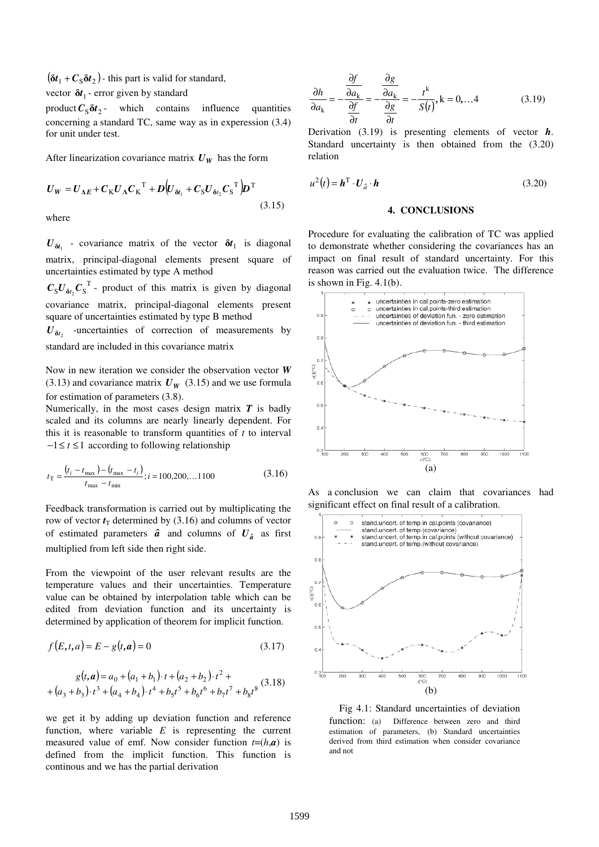$(\delta t_1 + C_S \delta t_2)$  - this part is valid for standard,

vector  $\delta t_1$  - error given by standard

product  $C_S \delta t_2$  - which contains influence quantities concerning a standard TC, same way as in experession (3.4) for unit under test.

After linearization covariance matrix  $U_W$  has the form

$$
U_W = U_{\Delta E} + C_K U_{\Lambda} C_K^{\top} + D \Big( U_{\delta t_1} + C_S U_{\delta t_2} C_S^{\top} \Big) D^{\top}
$$
\n(3.15)

where

 $U_{\delta t_1}$  - covariance matrix of the vector  $\delta t_1$  is diagonal matrix, principal-diagonal elements present square of uncertainties estimated by type A method

 $C_S U_{\delta t_2} C_S^T$  - product of this matrix is given by diagonal covariance matrix, principal-diagonal elements present square of uncertainties estimated by type B method

 $U_{\delta t_2}$  -uncertainties of correction of measurements by standard are included in this covariance matrix

Now in new iteration we consider the observation vector *W* (3.13) and covariance matrix  $U_W$  (3.15) and we use formula for estimation of parameters (3.8).

Numerically, in the most cases design matrix *T* is badly scaled and its columns are nearly linearly dependent. For this it is reasonable to transform quantities of  $t$  to interval − 1≤ *t* ≤1 according to following relationship

$$
t_{\rm T} = \frac{(t_i - t_{\rm max}) - (t_{\rm max} - t_i)}{t_{\rm max} - t_{\rm min}}; i = 100, 200, \dots 1100
$$
 (3.16)

Feedback transformation is carried out by multiplicating the row of vector  $t_T$  determined by (3.16) and columns of vector of estimated parameters  $\hat{a}$  and columns of  $U_{\hat{a}}$  as first multiplied from left side then right side.

From the viewpoint of the user relevant results are the temperature values and their uncertainties. Temperature value can be obtained by interpolation table which can be edited from deviation function and its uncertainty is determined by application of theorem for implicit function.

$$
f(E, t, a) = E - g(t, a) = 0 \tag{3.17}
$$

$$
g(t, a) = a_0 + (a_1 + b_1) \cdot t + (a_2 + b_2) \cdot t^2 +
$$
  
+  $(a_3 + b_3) \cdot t^3 + (a_4 + b_4) \cdot t^4 + b_5 t^5 + b_6 t^6 + b_7 t^7 + b_8 t^8$  (3.18)

we get it by adding up deviation function and reference function, where variable *E* is representing the current measured value of emf. Now consider function  $t=(h,a)$  is defined from the implicit function. This function is continous and we has the partial derivation

$$
\frac{\partial h}{\partial a_k} = -\frac{\frac{\partial f}{\partial a_k}}{\frac{\partial f}{\partial t}} = -\frac{\frac{\partial g}{\partial a_k}}{\frac{\partial g}{\partial t}} = -\frac{t^k}{S(t)}, k = 0, \dots 4
$$
(3.19)

Derivation (3.19) is presenting elements of vector *h*. Standard uncertainty is then obtained from the (3.20) relation

$$
u^2(t) = \mathbf{h}^{\mathrm{T}} \cdot \mathbf{U}_{\hat{a}} \cdot \mathbf{h}
$$
 (3.20)

# **4. CONCLUSIONS**

Procedure for evaluating the calibration of TC was applied to demonstrate whether considering the covariances has an impact on final result of standard uncertainty. For this reason was carried out the evaluation twice. The difference is shown in Fig.  $4.1(b)$ .



As a conclusion we can claim that covariances had significant effect on final result of a calibration.



Fig 4.1: Standard uncertainties of deviation function: (a) Difference between zero and third estimation of parameters, (b) Standard uncertainties derived from third estimation when consider covariance and not